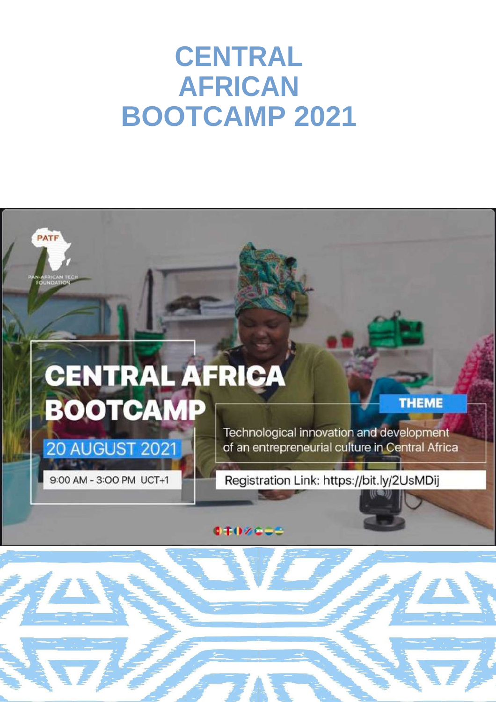## **CENTRAL AFRICAN BOOTCAMP 2021**

# PATF **CENTRAL AFRICA BOOTCAMP THEME** Technological innovation and development **20 AUGUST 2021** of an entrepreneurial culture in Central Africa 9:00 AM - 3:00 PM UCT+1 Registration Link: https://bit.ly/2UsMDij **CINYCES**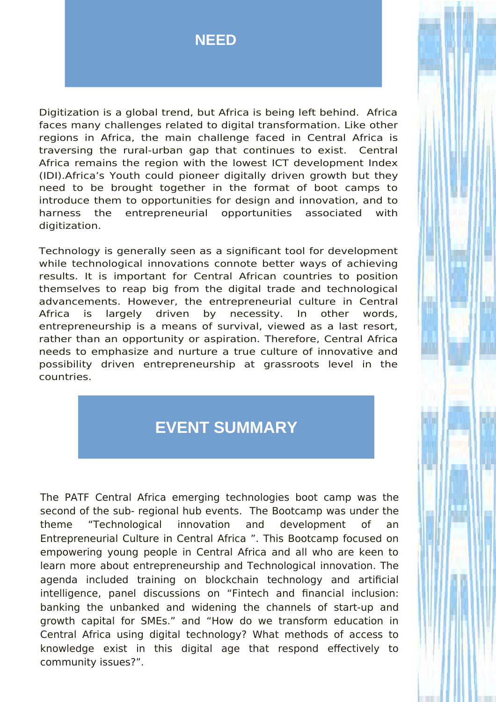### **NEED**

Digitization is a global trend, but Africa is being left behind. Africa faces many challenges related to digital transformation. Like other regions in Africa, the main challenge faced in Central Africa is traversing the rural-urban gap that continues to exist. Central Africa remains the region with the lowest ICT development Index (IDI).Africa's Youth could pioneer digitally driven growth but they need to be brought together in the format of boot camps to introduce them to opportunities for design and innovation, and to harness the entrepreneurial opportunities associated with digitization.

Technology is generally seen as a significant tool for development while technological innovations connote better ways of achieving results. It is important for Central African countries to position themselves to reap big from the digital trade and technological advancements. However, the entrepreneurial culture in Central Africa is largely driven by necessity. In other words, entrepreneurship is a means of survival, viewed as a last resort, rather than an opportunity or aspiration. Therefore, Central Africa needs to emphasize and nurture a true culture of innovative and possibility driven entrepreneurship at grassroots level in the countries.

### **EVENT SUMMARY**

The PATF Central Africa emerging technologies boot camp was the second of the sub- regional hub events. The Bootcamp was under the theme "Technological innovation and development of an Entrepreneurial Culture in Central Africa ". This Bootcamp focused on empowering young people in Central Africa and all who are keen to learn more about entrepreneurship and Technological innovation. The agenda included training on blockchain technology and artificial intelligence, panel discussions on "Fintech and financial inclusion: banking the unbanked and widening the channels of start-up and growth capital for SMEs." and "How do we transform education in Central Africa using digital technology? What methods of access to knowledge exist in this digital age that respond effectively to community issues?".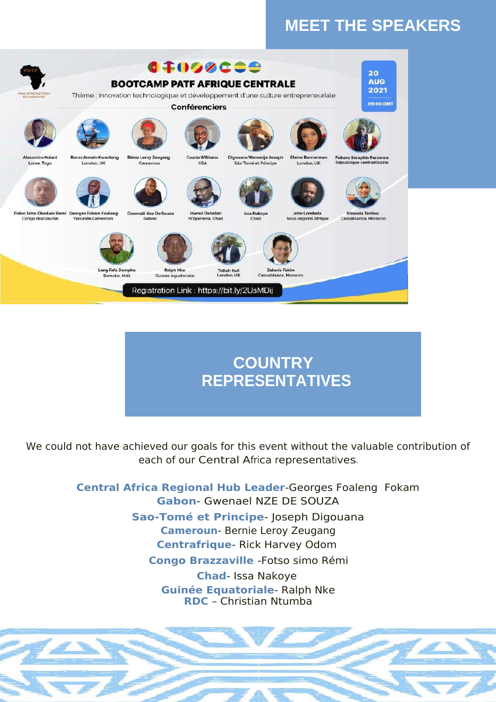### **MEET THE SPEAKERS**



### **COUNTRY REPRESENTATIVES**

We could not have achieved our goals for this event without the valuable contribution of each of our Central Africa representatives.

> **Central Africa Regional Hub Leader**-Georges Foaleng Fokam **Gabon**- Gwenael NZE DE SOUZA **Sao-Tomé et Principe**- Joseph Digouana **Cameroun**- Bernie Leroy Zeugang **Centrafrique**- Rick Harvey Odom **Congo Brazzaville** -Fotso simo Rémi **Chad**- Issa Nakoye **Guinée Equatoriale**- Ralph Nke **RDC** – Christian Ntumba

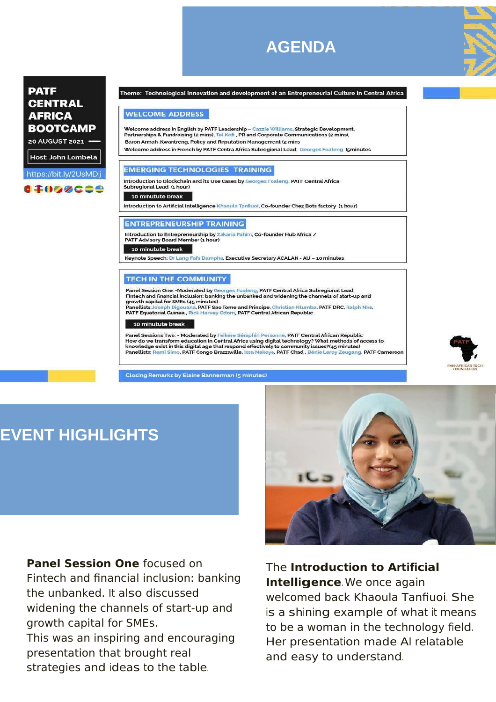### **AGENDA**



### **PATF CENTRAL AFRICA BOOTCAMP**

20 AUGUST 2021

Host: John Lombela

https://bit.ly/2UsMDij 17098000 Theme: Technological innovation and development of an Entrepreneurial Culture in Central Africa

#### **WELCOME ADDRESS**

Welcome address in English by PATF Leadership - Cazzie Williams, Strategic Development, Partnerships & Fundraising (2 mins), Tet Kofi, PR and Corporate Communications (2 mins), Baron Armah-Kwantreng, Policy and Reputation Management (2 mins Welcome address in French by PATF Centra Africa Subregional Lead; Georges Foaleng (sminutes

#### **EMERGING TECHNOLOGIES TRAINING**

Introduction to Blockchain and its Use Cases by Georges Foaleng, PATF Central Africa Subregional Lead (1 hour)

#### 10 minutute bre

Introduction to Artificial Intelligence Khaoula Tanfiuoi, Co-founder Chez Bots factory (1 hour)

#### **ENTREPRENEURSHIP TRAINING**

Introduction to Entrepreneurship by Zakaria Fahim, Co-founder Hub Africa /<br>PATF Advisory Board Member (1 hour)

#### 10 minutute break

Keynote Speech: Dr Lang Fafa Dampha, Executive Secretary ACALAN - AU - 10 minutes

#### **TECH IN THE COMMUNITY**

Panel Session One: -Moderated by Georges Foaleng, PATF Central Africa Subregional Lead Fintech and financial inclusion: banking the unbanked and widening the channels of start-up and growth capital for SMEs (45 minutes) Panellists: Joseph Digouana, PATF Sao Tome and Principe, Christian Ntumba, PATF DRC, Ralph Nke, PATF Equatorial Guinea, Rick Harvey Odom, PATF Central African Republic

10 minutute break

Panel Sessions Two: - Moderated by Feikere Séraphin Personne, PATF Central African Republic How do we transform education in Central Africa using digital technology? What methods of access to knowledge exist in this digital age that respond effectively to community issues?(45 minutes) Panellists: Remi Simo, PATF Congo Brazzaville, Issa Nakoye, PATF Chad, Bénie Leroy Zeugang, PATF Cameroon

**Closing Remarks by Elaine Bannerman (5 minutes)** 



### **EVENT HIGHLIGHTS**

**Panel Session One** focused on Fintech and financial inclusion: banking the unbanked. It also discussed widening the channels of start-up and growth capital for SMEs.

This was an inspiring and encouraging presentation that brought real strategies and ideas to the table.



### The **Introduction to Artificial Intelligence**. We once again

welcomed back Khaoula Tanfiuoi. She is a shining example of what it means to be a woman in the technology field. Her presentation made AI relatable and easy to understand.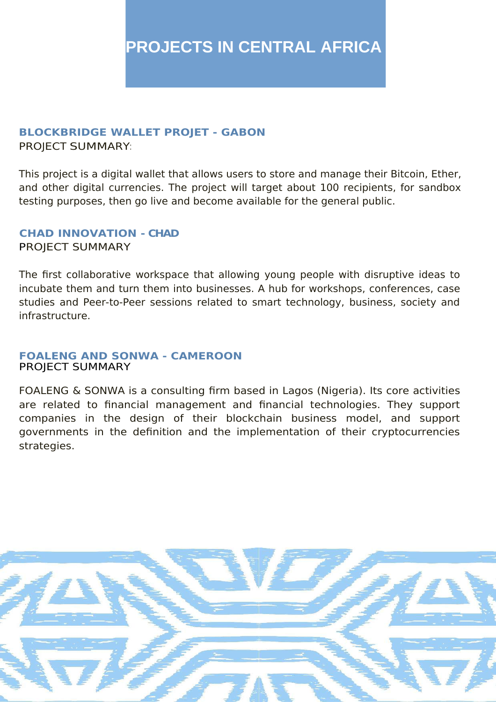#### **BLOCKBRIDGE WALLET PROJET - GABON** PROJECT SUMMARY:

This project is a digital wallet that allows users to store and manage their Bitcoin, Ether, and other digital currencies. The project will target about 100 recipients, for sandbox testing purposes, then go live and become available for the general public.

#### **CHAD INNOVATION - CHAD** PROJECT SUMMARY

The first collaborative workspace that allowing young people with disruptive ideas to incubate them and turn them into businesses. A hub for workshops, conferences, case studies and Peer-to-Peer sessions related to smart technology, business, society and infrastructure.

#### **FOALENG AND SONWA - CAMEROON** PROJECT SUMMARY

FOALENG & SONWA is a consulting firm based in Lagos (Nigeria). Its core activities are related to financial management and financial technologies. They support companies in the design of their blockchain business model, and support governments in the definition and the implementation of their cryptocurrencies strategies.

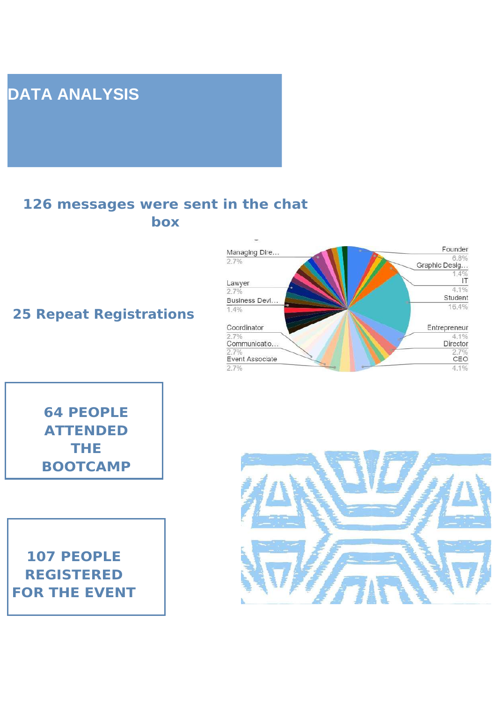### **DATA ANALYSIS**

### **126 messages were sent in the chat box**

**25 Repeat Registrations**



**64 PEOPLE ATTENDED THE BOOTCAMP**

**107 PEOPLE REGISTERED FOR THE EVENT**

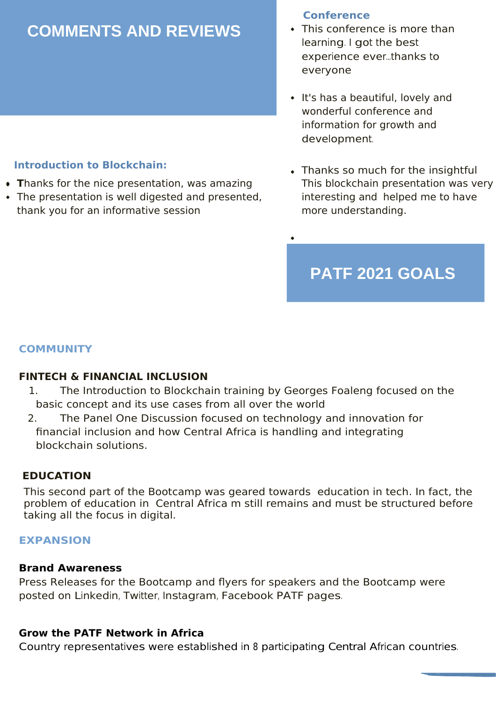### **COMMENTS AND REVIEWS**

- **T**hanks for the nice presentation, was amazing
- The presentation is well digested and presented, thank you for an informative session

### **Conference**

- This conference is more than learning. I got the best experience ever...thanks to everyone
- It's has a beautiful, lovely and wonderful conference and information for growth and development.
- Introduction to Blockchain: **Thanks so much for the insightful** This blockchain presentation was very interesting and helped me to have more understanding.

### **PATF 2021 GOALS**

### **COMMUNITY**

### **FINTECH & FINANCIAL INCLUSION**

- 1. The Introduction to Blockchain training by Georges Foaleng focused on the basic concept and its use cases from all over the world
- 2. The Panel One Discussion focused on technology and innovation for financial inclusion and how Central Africa is handling and integrating blockchain solutions.

### **EDUCATION**

This second part of the Bootcamp was geared towards education in tech. In fact, the problem of education in Central Africa m still remains and must be structured before taking all the focus in digital.

### **EXPANSION**

#### **Brand Awareness**

Press Releases for the Bootcamp and flyers for speakers and the Bootcamp were posted on Linkedin, Twitter, Instagram, Facebook PATF pages.

#### **Grow the PATF Network in Africa**

Country representatives were established in <sup>8</sup> participating Central African countries.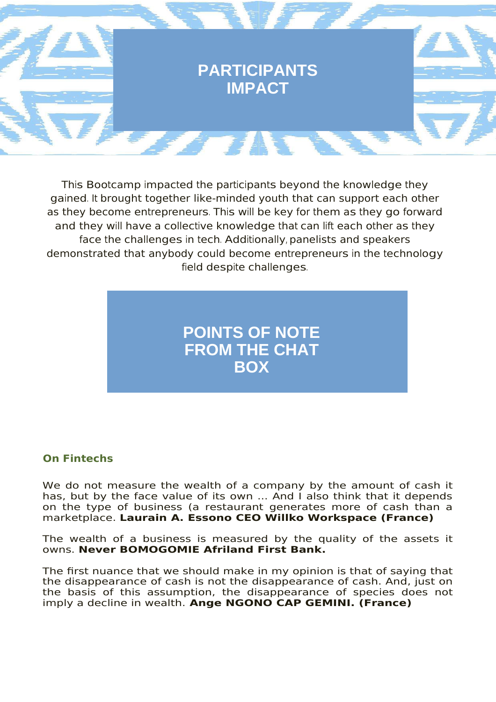

This Bootcamp impacted the participants beyond the knowledge they gained. It brought together like-minded youth that can support each other as they become entrepreneurs. This will be key for them as they go forward and they will have a collective knowledge that can lift each other as they face the challenges in tech. Additionally, panelists and speakers demonstrated that anybody could become entrepreneurs in the technology field despite challenges.

### **POINTS OF NOTE FROM THE CHAT BOX**

### **On Fintechs**

We do not measure the wealth of a company by the amount of cash it has, but by the face value of its own ... And I also think that it depends on the type of business (a restaurant generates more of cash than a marketplace. **Laurain A. Essono CEO Willko Workspace (France)**

The wealth of a business is measured by the quality of the assets it owns. **Never BOMOGOMIE Afriland First Bank.**

The first nuance that we should make in my opinion is that of saying that the disappearance of cash is not the disappearance of cash. And, just on the basis of this assumption, the disappearance of species does not imply a decline in wealth. **Ange NGONO CAP GEMINI. (France)**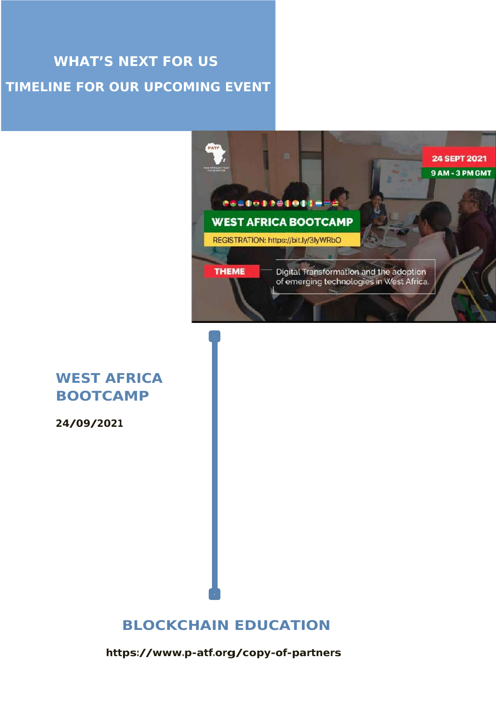### **WHAT'S NEXT FOR US TIMELINE FOR OUR UPCOMING EVENT**



### **WEST AFRICA BOOTCAMP**

**24/09/2021**

### **BLOCKCHAIN EDUCATION**

**https://www.p-atf.org/copy-of-partners**